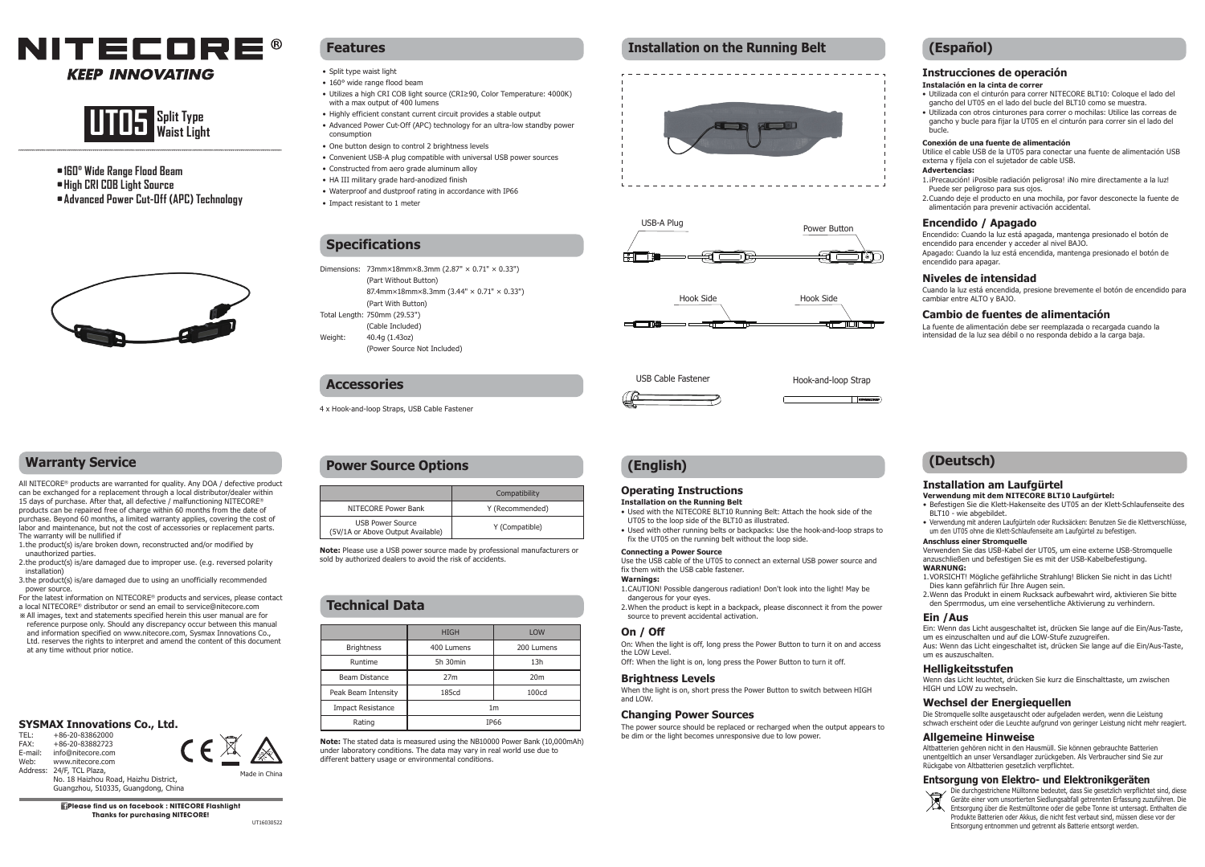



- **•160° Wide Range Flood Beam**
- **•High CRI COB Light Source**
- **•Advanced Power Cut-Off (APC) Technology**



# **Warranty Service**

All NITECORE® products are warranted for quality. Any DOA / defective product can be exchanged for a replacement through a local distributor/dealer within 15 days of purchase. After that, all defective / malfunctioning NITECORE® products can be repaired free of charge within 60 months from the date of purchase. Beyond 60 months, a limited warranty applies, covering the cost of labor and maintenance, but not the cost of accessories or replacement parts. The warranty will be nullified if

1. the product(s) is/are broken down, reconstructed and/or modified by unauthorized parties.

- 2.the product(s) is/are damaged due to improper use. (e.g. reversed polarity installation)
- 3. the product(s) is/are damaged due to using an unofficially recommended power source.

For the latest information on NITECORE® products and services, please contact a local NITECORE® distributor or send an email to service@nitecore.com

※ All images, text and statements specified herein this user manual are for reference purpose only. Should any discrepancy occur between this manual and information specified on www.nitecore.com, Sysmax Innovations Co., Ltd. reserves the rights to interpret and amend the content of this document at any time without prior notice.

# **SYSMAX Innovations Co., Ltd.**<br>TEL: +86-20-83862000  $C \in \mathbb{X}$

TEL: +86-20-83862000<br>EAX: +86-20-83882723 FAX: +86-20-83882723<br>E-mail: info@nitecore.com E-mail: info@nitecore.com<br>Web: www.nitecore.com www.nitecore.com



 No. 18 Haizhou Road, Haizhu District, Guangzhou, 510335, Guangdong, China

**Please find us on facebook : NITECORE Flashlight Thanks for purchasing NITECORE!** UT16030522

Made in China

# **Features**

- Split type waist light
- 160° wide range flood beam
- • Utilizes a high CRI COB light source (CRI≥90, Color Temperature: 4000K) with a max output of 400 lumens
- Highly efficient constant current circuit provides a stable output
- Advanced Power Cut-Off (APC) technology for an ultra-low standby power consumption
- One button design to control 2 brightness levels
- Convenient USB-A plug compatible with universal USB power sources • Constructed from aero grade aluminum alloy
- HA III military grade hard-anodized finish

(Part With Button)

4 x Hook-and-loop Straps, USB Cable Fastener

• Waterproof and dustproof rating in accordance with IP66

Dimensions: 73mm×18mm×8.3mm (2.87" × 0.71" × 0.33") (Part Without Button)

(Power Source Not Included)

87.4mm×18mm×8.3mm (3.44" × 0.71" × 0.33")

• Impact resistant to 1 meter

**Specifications**

Total Length: 750mm (29.53") (Cable Included)

Weight: 40.4g (1.43oz)

**Accessories**

# **Installation on the Running Belt**









# **(English)**

# **Operating Instructions**

**Installation on the Running Belt**

• Used with the NITECORE BLT10 Running Belt: Attach the hook side of the

- UT05 to the loop side of the BLT10 as illustrated. • Used with other running belts or backpacks: Use the hook-and-loop straps to
- fix the UT05 on the running belt without the loop side.

# **Connecting a Power Source**

Use the USB cable of the UT05 to connect an external USB power source and fix them with the USB cable fastener.

# **Warnings:**

1. CAUTION! Possible dangerous radiation! Don't look into the light! May be dangerous for your eyes. 2. When the product is kept in a backpack, please disconnect it from the power

# **On / Off**

On: When the light is off, long press the Power Button to turn it on and access the LOW Level.

Off: When the light is on, long press the Power Button to turn it off.

## **Brightness Levels**

When the light is on, short press the Power Button to switch between HIGH and LOW.

### **Changing Power Sources**

source to prevent accidental activation.

The power source should be replaced or recharged when the output appears to be dim or the light becomes unresponsive due to low power.

# **(Español)**

# **Instrucciones de operación**

- **Instalación en la cinta de correr**
- • Utilizada con el cinturón para correr NITECORE BLT10: Coloque el lado del gancho del UT05 en el lado del bucle del BLT10 como se muestra.
- • Utilizada con otros cinturones para correr o mochilas: Utilice las correas de gancho y bucle para fijar la UT05 en el cinturón para correr sin el lado del bucle.

## **Conexión de una fuente de alimentación**

Utilice el cable USB de la UT05 para conectar una fuente de alimentación USB externa y fíjela con el sujetador de cable USB. **Advertencias:**

- 1. iPrecaución! iPosible radiación peligrosa! iNo mire directamente a la luz! Puede ser peligroso para sus ojos.
- 2. Cuando deje el producto en una mochila, por favor desconecte la fuente de alimentación para prevenir activación accidental.

## **Encendido / Apagado**

Encendido: Cuando la luz está apagada, mantenga presionado el botón de encendido para encender y acceder al nivel BAJO. Apagado: Cuando la luz está encendida, mantenga presionado el botón de encendido para apagar.

# **Niveles de intensidad**

Cuando la luz está encendida, presione brevemente el botón de encendido para cambiar entre ALTO y BAJO.

# **Cambio de fuentes de alimentación**

La fuente de alimentación debe ser reemplazada o recargada cuando la intensidad de la luz sea débil o no responda debido a la carga baja.

# **(Deutsch)**

# **Installation am Laufgürtel**

#### **Verwendung mit dem NITECORE BLT10 Laufgürtel:**

- • Befestigen Sie die Klett-Hakenseite des UT05 an der Klett-Schlaufenseite des BLT10 - wie abgebildet.
- Verwendung mit anderen Laufgürteln oder Rucksäcken: Benutzen Sie die Klettverschlüsse, um den UT05 ohne die Klett-Schlaufenseite am Laufgürtel zu befestigen.

#### **Anschluss einer Stromquelle**

Verwenden Sie das USB-Kabel der UT05, um eine externe USB-Stromquelle anzuschließen und befestigen Sie es mit der USB-Kabelbefestigung. **WARNUNG:**

- 1. VORSICHT! Mögliche gefährliche Strahlung! Blicken Sie nicht in das Licht! Dies kann gefährlich für Ihre Augen sein.
- 2. Wenn das Produkt in einem Rucksack aufbewahrt wird, aktivieren Sie bitte den Sperrmodus, um eine versehentliche Aktivierung zu verhindern.

# **Ein /Aus**

Ein: Wenn das Licht ausgeschaltet ist, drücken Sie lange auf die Ein/Aus-Taste, um es einzuschalten und auf die LOW-Stufe zuzugreifen. Aus: Wenn das Licht eingeschaltet ist, drücken Sie lange auf die Ein/Aus-Taste, um es auszuschalten.

#### **Helligkeitsstufen**

Wenn das Licht leuchtet, drücken Sie kurz die Einschalttaste, um zwischen HIGH und LOW zu wechseln.

### **Wechsel der Energiequellen**

Die Stromquelle sollte ausgetauscht oder aufgeladen werden, wenn die Leistung schwach erscheint oder die Leuchte aufgrund von geringer Leistung nicht mehr reagiert.

#### **Allgemeine Hinweise**

Altbatterien gehören nicht in den Hausmüll. Sie können gebrauchte Batterien unentgeltlich an unser Versandlager zurückgeben. Als Verbraucher sind Sie zur Rückgabe von Altbatterien gesetzlich verpflichtet.

### **Entsorgung von Elektro- und Elektronikgeräten**

Die durchgestrichene Mülltonne bedeutet, dass Sie gesetzlich verpflichtet sind, diese Geräte einer vom unsortierten Siedlungsabfall getrennten Erfassung zuzuführen. Die ∕Д Entsorgung über die Restmülltonne oder die gelbe Tonne ist untersagt. Enthalten die Produkte Batterien oder Akkus, die nicht fest verbaut sind, müssen diese vor der Entsorgung entnommen und getrennt als Batterie entsorgt werden.

Compatibility NITECORE Power Bank Y (Recommended) **Power Source Options**

**Note:** Please use a USB power source made by professional manufacturers or sold by authorized dealers to avoid the risk of accidents.

USB Power Source<br>(5V/1A or Above Output Available) Y (Compatible)

# **Technical Data**

USB Power Source

|                          | <b>HIGH</b>    | <b>LOW</b>      |
|--------------------------|----------------|-----------------|
| <b>Brightness</b>        | 400 Lumens     | 200 Lumens      |
| Runtime                  | 5h 30min       | 13h             |
| Beam Distance            | 27m            | 20 <sub>m</sub> |
| Peak Beam Intensity      | 185cd          | 100cd           |
| <b>Impact Resistance</b> | 1 <sub>m</sub> |                 |
| Rating                   | <b>IP66</b>    |                 |

**Note:** The stated data is measured using the NB10000 Power Bank (10,000mAh) under laboratory conditions. The data may vary in real world use due to

different battery usage or environmental conditions.